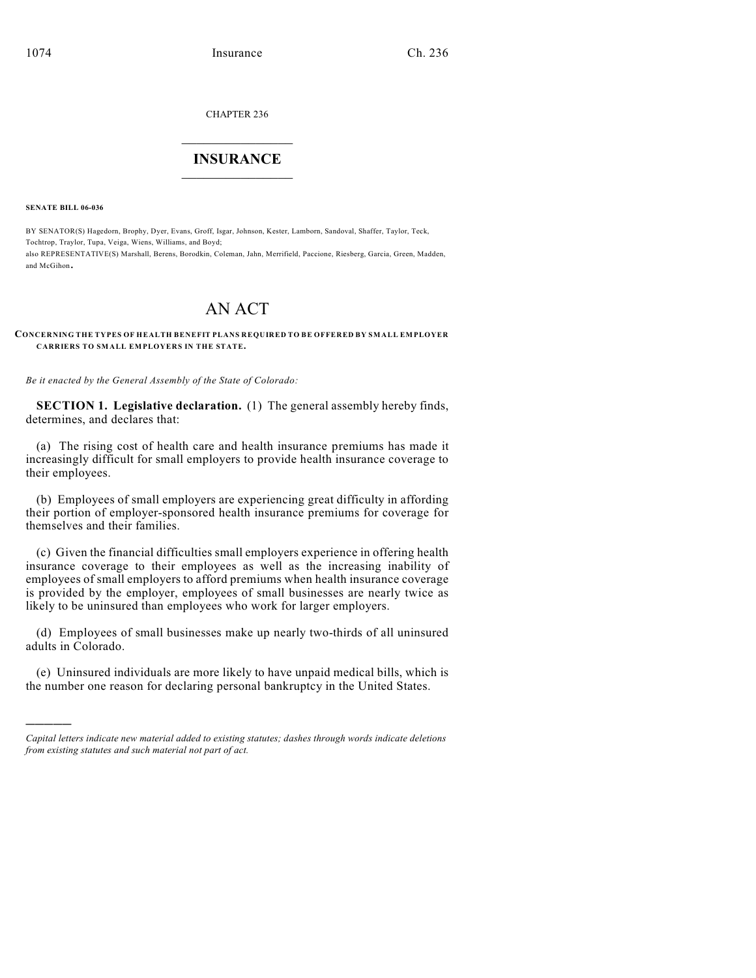CHAPTER 236

## $\overline{\phantom{a}}$  . The set of the set of the set of the set of the set of the set of the set of the set of the set of the set of the set of the set of the set of the set of the set of the set of the set of the set of the set o **INSURANCE**  $\frac{1}{2}$  ,  $\frac{1}{2}$  ,  $\frac{1}{2}$  ,  $\frac{1}{2}$  ,  $\frac{1}{2}$  ,  $\frac{1}{2}$  ,  $\frac{1}{2}$

**SENATE BILL 06-036**

)))))

BY SENATOR(S) Hagedorn, Brophy, Dyer, Evans, Groff, Isgar, Johnson, Kester, Lamborn, Sandoval, Shaffer, Taylor, Teck, Tochtrop, Traylor, Tupa, Veiga, Wiens, Williams, and Boyd; also REPRESENTATIVE(S) Marshall, Berens, Borodkin, Coleman, Jahn, Merrifield, Paccione, Riesberg, Garcia, Green, Madden, and McGihon.

# AN ACT

### **CONCERNING THE TYPES OF HEALTH BENEFIT PLANS REQUIRED TO BE OFFERED BY SMALL EMPLOYER CARRIERS TO SMALL EMPLOYERS IN THE STATE.**

*Be it enacted by the General Assembly of the State of Colorado:*

**SECTION 1. Legislative declaration.** (1) The general assembly hereby finds, determines, and declares that:

(a) The rising cost of health care and health insurance premiums has made it increasingly difficult for small employers to provide health insurance coverage to their employees.

(b) Employees of small employers are experiencing great difficulty in affording their portion of employer-sponsored health insurance premiums for coverage for themselves and their families.

(c) Given the financial difficulties small employers experience in offering health insurance coverage to their employees as well as the increasing inability of employees of small employers to afford premiums when health insurance coverage is provided by the employer, employees of small businesses are nearly twice as likely to be uninsured than employees who work for larger employers.

(d) Employees of small businesses make up nearly two-thirds of all uninsured adults in Colorado.

(e) Uninsured individuals are more likely to have unpaid medical bills, which is the number one reason for declaring personal bankruptcy in the United States.

*Capital letters indicate new material added to existing statutes; dashes through words indicate deletions from existing statutes and such material not part of act.*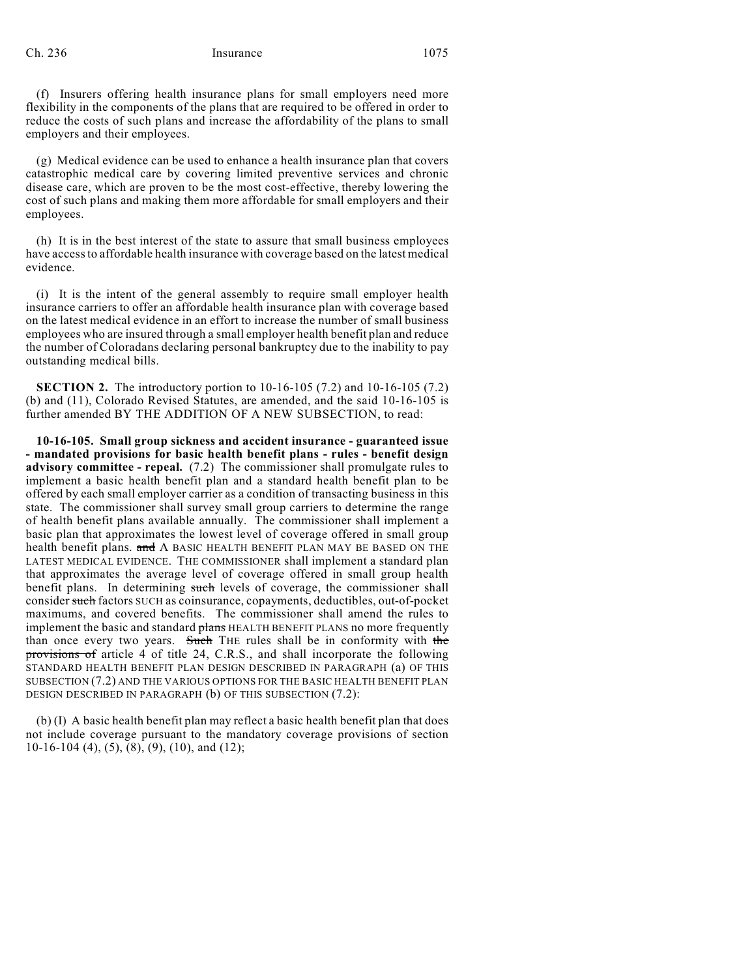(f) Insurers offering health insurance plans for small employers need more flexibility in the components of the plans that are required to be offered in order to reduce the costs of such plans and increase the affordability of the plans to small employers and their employees.

(g) Medical evidence can be used to enhance a health insurance plan that covers catastrophic medical care by covering limited preventive services and chronic disease care, which are proven to be the most cost-effective, thereby lowering the cost of such plans and making them more affordable for small employers and their employees.

(h) It is in the best interest of the state to assure that small business employees have access to affordable health insurance with coverage based on the latest medical evidence.

(i) It is the intent of the general assembly to require small employer health insurance carriers to offer an affordable health insurance plan with coverage based on the latest medical evidence in an effort to increase the number of small business employees who are insured through a small employer health benefit plan and reduce the number of Coloradans declaring personal bankruptcy due to the inability to pay outstanding medical bills.

**SECTION 2.** The introductory portion to 10-16-105 (7.2) and 10-16-105 (7.2) (b) and (11), Colorado Revised Statutes, are amended, and the said 10-16-105 is further amended BY THE ADDITION OF A NEW SUBSECTION, to read:

**10-16-105. Small group sickness and accident insurance - guaranteed issue - mandated provisions for basic health benefit plans - rules - benefit design advisory committee - repeal.** (7.2) The commissioner shall promulgate rules to implement a basic health benefit plan and a standard health benefit plan to be offered by each small employer carrier as a condition of transacting business in this state. The commissioner shall survey small group carriers to determine the range of health benefit plans available annually. The commissioner shall implement a basic plan that approximates the lowest level of coverage offered in small group health benefit plans. and A BASIC HEALTH BENEFIT PLAN MAY BE BASED ON THE LATEST MEDICAL EVIDENCE. THE COMMISSIONER shall implement a standard plan that approximates the average level of coverage offered in small group health benefit plans. In determining such levels of coverage, the commissioner shall consider such factors SUCH as coinsurance, copayments, deductibles, out-of-pocket maximums, and covered benefits. The commissioner shall amend the rules to implement the basic and standard plans HEALTH BENEFIT PLANS no more frequently than once every two years. Such THE rules shall be in conformity with the provisions of article 4 of title 24, C.R.S., and shall incorporate the following STANDARD HEALTH BENEFIT PLAN DESIGN DESCRIBED IN PARAGRAPH (a) OF THIS SUBSECTION (7.2) AND THE VARIOUS OPTIONS FOR THE BASIC HEALTH BENEFIT PLAN DESIGN DESCRIBED IN PARAGRAPH (b) OF THIS SUBSECTION (7.2):

(b) (I) A basic health benefit plan may reflect a basic health benefit plan that does not include coverage pursuant to the mandatory coverage provisions of section 10-16-104 (4), (5), (8), (9), (10), and (12);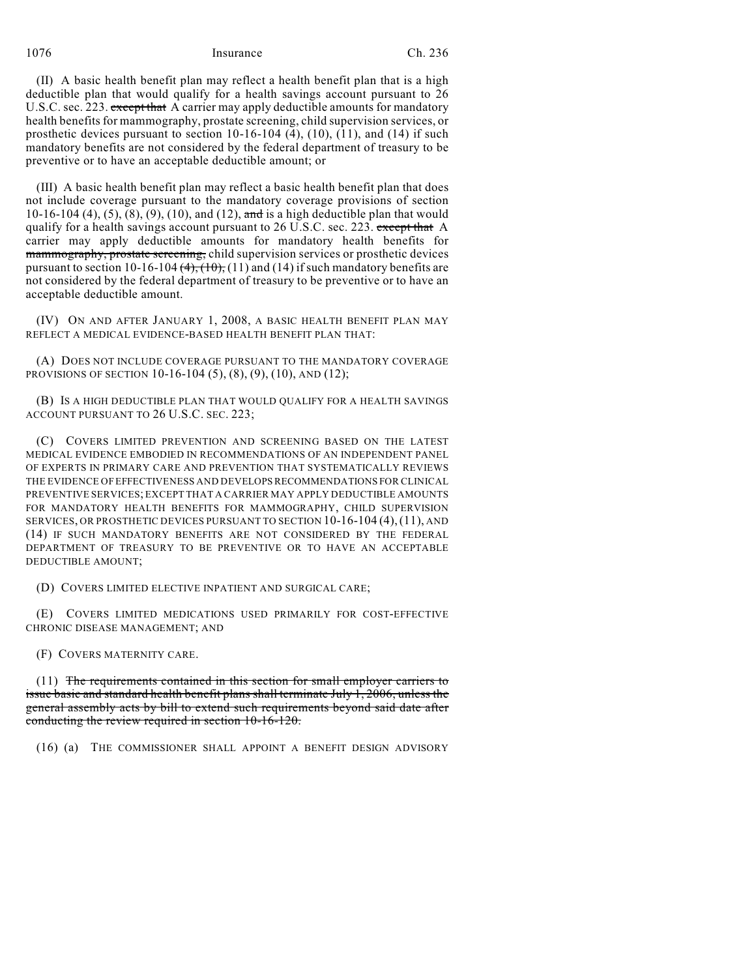1076 Insurance Ch. 236

(II) A basic health benefit plan may reflect a health benefit plan that is a high deductible plan that would qualify for a health savings account pursuant to 26 U.S.C. sec. 223. except that A carrier may apply deductible amounts for mandatory health benefits for mammography, prostate screening, child supervision services, or prosthetic devices pursuant to section 10-16-104 (4), (10), (11), and (14) if such mandatory benefits are not considered by the federal department of treasury to be preventive or to have an acceptable deductible amount; or

(III) A basic health benefit plan may reflect a basic health benefit plan that does not include coverage pursuant to the mandatory coverage provisions of section 10-16-104 (4), (5), (8), (9), (10), and (12), and is a high deductible plan that would qualify for a health savings account pursuant to 26 U.S.C. sec. 223. except that A carrier may apply deductible amounts for mandatory health benefits for mammography, prostate screening, child supervision services or prosthetic devices pursuant to section 10-16-104  $(4)$ ,  $(10)$ ,  $(11)$  and  $(14)$  if such mandatory benefits are not considered by the federal department of treasury to be preventive or to have an acceptable deductible amount.

(IV) ON AND AFTER JANUARY 1, 2008, A BASIC HEALTH BENEFIT PLAN MAY REFLECT A MEDICAL EVIDENCE-BASED HEALTH BENEFIT PLAN THAT:

(A) DOES NOT INCLUDE COVERAGE PURSUANT TO THE MANDATORY COVERAGE PROVISIONS OF SECTION 10-16-104 (5), (8), (9), (10), AND (12);

(B) IS A HIGH DEDUCTIBLE PLAN THAT WOULD QUALIFY FOR A HEALTH SAVINGS ACCOUNT PURSUANT TO 26 U.S.C. SEC. 223;

(C) COVERS LIMITED PREVENTION AND SCREENING BASED ON THE LATEST MEDICAL EVIDENCE EMBODIED IN RECOMMENDATIONS OF AN INDEPENDENT PANEL OF EXPERTS IN PRIMARY CARE AND PREVENTION THAT SYSTEMATICALLY REVIEWS THE EVIDENCE OF EFFECTIVENESS AND DEVELOPS RECOMMENDATIONS FOR CLINICAL PREVENTIVE SERVICES; EXCEPT THAT A CARRIER MAY APPLY DEDUCTIBLE AMOUNTS FOR MANDATORY HEALTH BENEFITS FOR MAMMOGRAPHY, CHILD SUPERVISION SERVICES, OR PROSTHETIC DEVICES PURSUANT TO SECTION 10-16-104 (4),(11), AND (14) IF SUCH MANDATORY BENEFITS ARE NOT CONSIDERED BY THE FEDERAL DEPARTMENT OF TREASURY TO BE PREVENTIVE OR TO HAVE AN ACCEPTABLE DEDUCTIBLE AMOUNT;

(D) COVERS LIMITED ELECTIVE INPATIENT AND SURGICAL CARE;

(E) COVERS LIMITED MEDICATIONS USED PRIMARILY FOR COST-EFFECTIVE CHRONIC DISEASE MANAGEMENT; AND

(F) COVERS MATERNITY CARE.

(11) The requirements contained in this section for small employer carriers to issue basic and standard health benefit plans shall terminate July 1, 2006, unless the general assembly acts by bill to extend such requirements beyond said date after conducting the review required in section 10-16-120.

(16) (a) THE COMMISSIONER SHALL APPOINT A BENEFIT DESIGN ADVISORY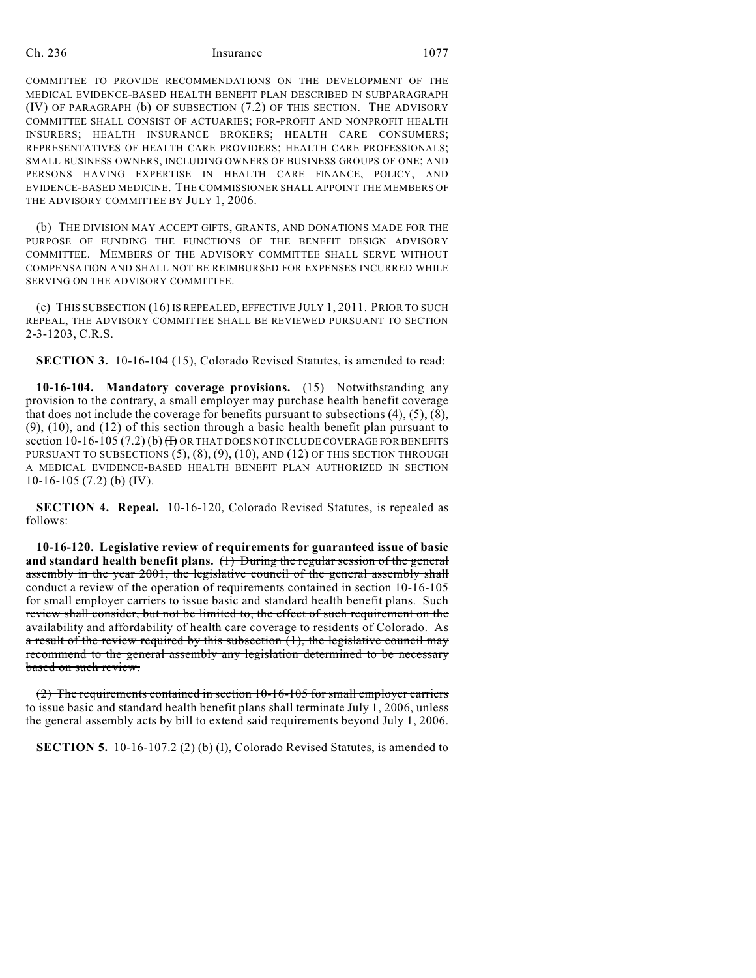### Ch. 236 Insurance 1077

COMMITTEE TO PROVIDE RECOMMENDATIONS ON THE DEVELOPMENT OF THE MEDICAL EVIDENCE-BASED HEALTH BENEFIT PLAN DESCRIBED IN SUBPARAGRAPH (IV) OF PARAGRAPH (b) OF SUBSECTION (7.2) OF THIS SECTION. THE ADVISORY COMMITTEE SHALL CONSIST OF ACTUARIES; FOR-PROFIT AND NONPROFIT HEALTH INSURERS; HEALTH INSURANCE BROKERS; HEALTH CARE CONSUMERS; REPRESENTATIVES OF HEALTH CARE PROVIDERS; HEALTH CARE PROFESSIONALS; SMALL BUSINESS OWNERS, INCLUDING OWNERS OF BUSINESS GROUPS OF ONE; AND PERSONS HAVING EXPERTISE IN HEALTH CARE FINANCE, POLICY, AND EVIDENCE-BASED MEDICINE. THE COMMISSIONER SHALL APPOINT THE MEMBERS OF THE ADVISORY COMMITTEE BY JULY 1, 2006.

(b) THE DIVISION MAY ACCEPT GIFTS, GRANTS, AND DONATIONS MADE FOR THE PURPOSE OF FUNDING THE FUNCTIONS OF THE BENEFIT DESIGN ADVISORY COMMITTEE. MEMBERS OF THE ADVISORY COMMITTEE SHALL SERVE WITHOUT COMPENSATION AND SHALL NOT BE REIMBURSED FOR EXPENSES INCURRED WHILE SERVING ON THE ADVISORY COMMITTEE.

(c) THIS SUBSECTION (16) IS REPEALED, EFFECTIVE JULY 1, 2011. PRIOR TO SUCH REPEAL, THE ADVISORY COMMITTEE SHALL BE REVIEWED PURSUANT TO SECTION 2-3-1203, C.R.S.

**SECTION 3.** 10-16-104 (15), Colorado Revised Statutes, is amended to read:

**10-16-104. Mandatory coverage provisions.** (15) Notwithstanding any provision to the contrary, a small employer may purchase health benefit coverage that does not include the coverage for benefits pursuant to subsections (4), (5), (8), (9), (10), and (12) of this section through a basic health benefit plan pursuant to section 10-16-105 (7.2) (b)  $\bigoplus$  OR THAT DOES NOT INCLUDE COVERAGE FOR BENEFITS PURSUANT TO SUBSECTIONS  $(5)$ ,  $(8)$ ,  $(9)$ ,  $(10)$ , AND  $(12)$  OF THIS SECTION THROUGH A MEDICAL EVIDENCE-BASED HEALTH BENEFIT PLAN AUTHORIZED IN SECTION 10-16-105 (7.2) (b) (IV).

**SECTION 4. Repeal.** 10-16-120, Colorado Revised Statutes, is repealed as follows:

**10-16-120. Legislative review of requirements for guaranteed issue of basic and standard health benefit plans.** (1) During the regular session of the general assembly in the year 2001, the legislative council of the general assembly shall conduct a review of the operation of requirements contained in section 10-16-105 for small employer carriers to issue basic and standard health benefit plans. Such review shall consider, but not be limited to, the effect of such requirement on the availability and affordability of health care coverage to residents of Colorado. As a result of the review required by this subsection (1), the legislative council may recommend to the general assembly any legislation determined to be necessary based on such review.

(2) The requirements contained in section 10-16-105 for small employer carriers to issue basic and standard health benefit plans shall terminate July 1, 2006, unless the general assembly acts by bill to extend said requirements beyond July 1, 2006.

**SECTION 5.** 10-16-107.2 (2) (b) (I), Colorado Revised Statutes, is amended to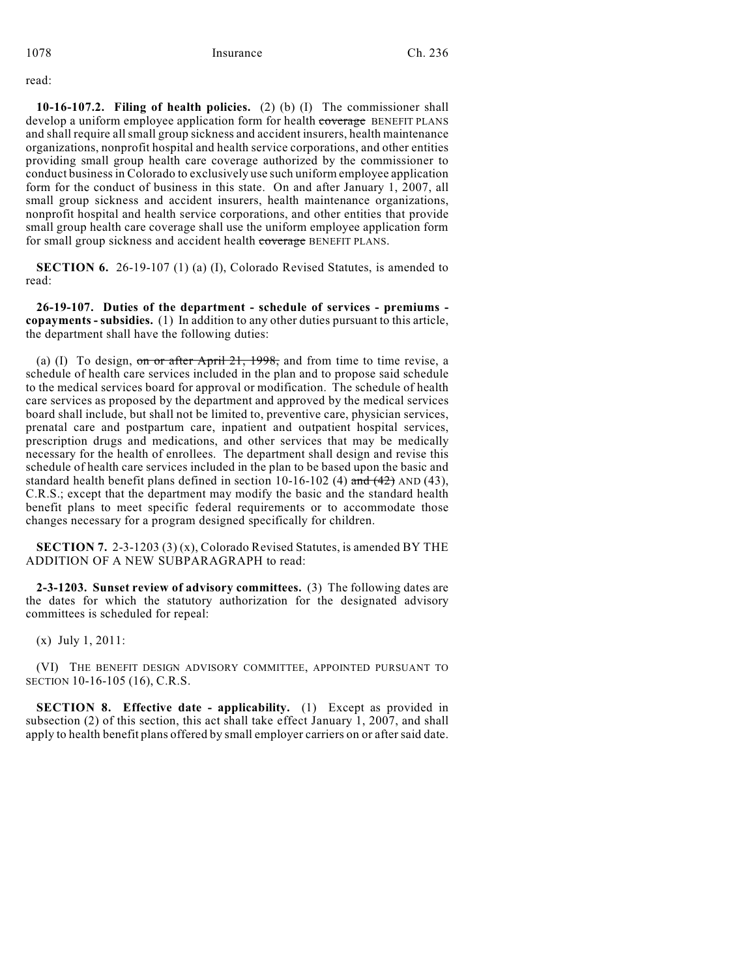read:

**10-16-107.2. Filing of health policies.** (2) (b) (I) The commissioner shall develop a uniform employee application form for health coverage BENEFIT PLANS and shall require all small group sickness and accident insurers, health maintenance organizations, nonprofit hospital and health service corporations, and other entities providing small group health care coverage authorized by the commissioner to conduct business in Colorado to exclusively use such uniform employee application form for the conduct of business in this state. On and after January 1, 2007, all small group sickness and accident insurers, health maintenance organizations, nonprofit hospital and health service corporations, and other entities that provide small group health care coverage shall use the uniform employee application form for small group sickness and accident health coverage BENEFIT PLANS.

**SECTION 6.** 26-19-107 (1) (a) (I), Colorado Revised Statutes, is amended to read:

**26-19-107. Duties of the department - schedule of services - premiums copayments - subsidies.** (1) In addition to any other duties pursuant to this article, the department shall have the following duties:

(a) (I) To design, on or after April  $21$ , 1998, and from time to time revise, a schedule of health care services included in the plan and to propose said schedule to the medical services board for approval or modification. The schedule of health care services as proposed by the department and approved by the medical services board shall include, but shall not be limited to, preventive care, physician services, prenatal care and postpartum care, inpatient and outpatient hospital services, prescription drugs and medications, and other services that may be medically necessary for the health of enrollees. The department shall design and revise this schedule of health care services included in the plan to be based upon the basic and standard health benefit plans defined in section 10-16-102 (4) and  $(42)$  AND (43), C.R.S.; except that the department may modify the basic and the standard health benefit plans to meet specific federal requirements or to accommodate those changes necessary for a program designed specifically for children.

**SECTION 7.** 2-3-1203 (3) (x), Colorado Revised Statutes, is amended BY THE ADDITION OF A NEW SUBPARAGRAPH to read:

**2-3-1203. Sunset review of advisory committees.** (3) The following dates are the dates for which the statutory authorization for the designated advisory committees is scheduled for repeal:

(x) July 1, 2011:

(VI) THE BENEFIT DESIGN ADVISORY COMMITTEE, APPOINTED PURSUANT TO SECTION 10-16-105 (16), C.R.S.

**SECTION 8. Effective date - applicability.** (1) Except as provided in subsection (2) of this section, this act shall take effect January 1, 2007, and shall apply to health benefit plans offered by small employer carriers on or after said date.